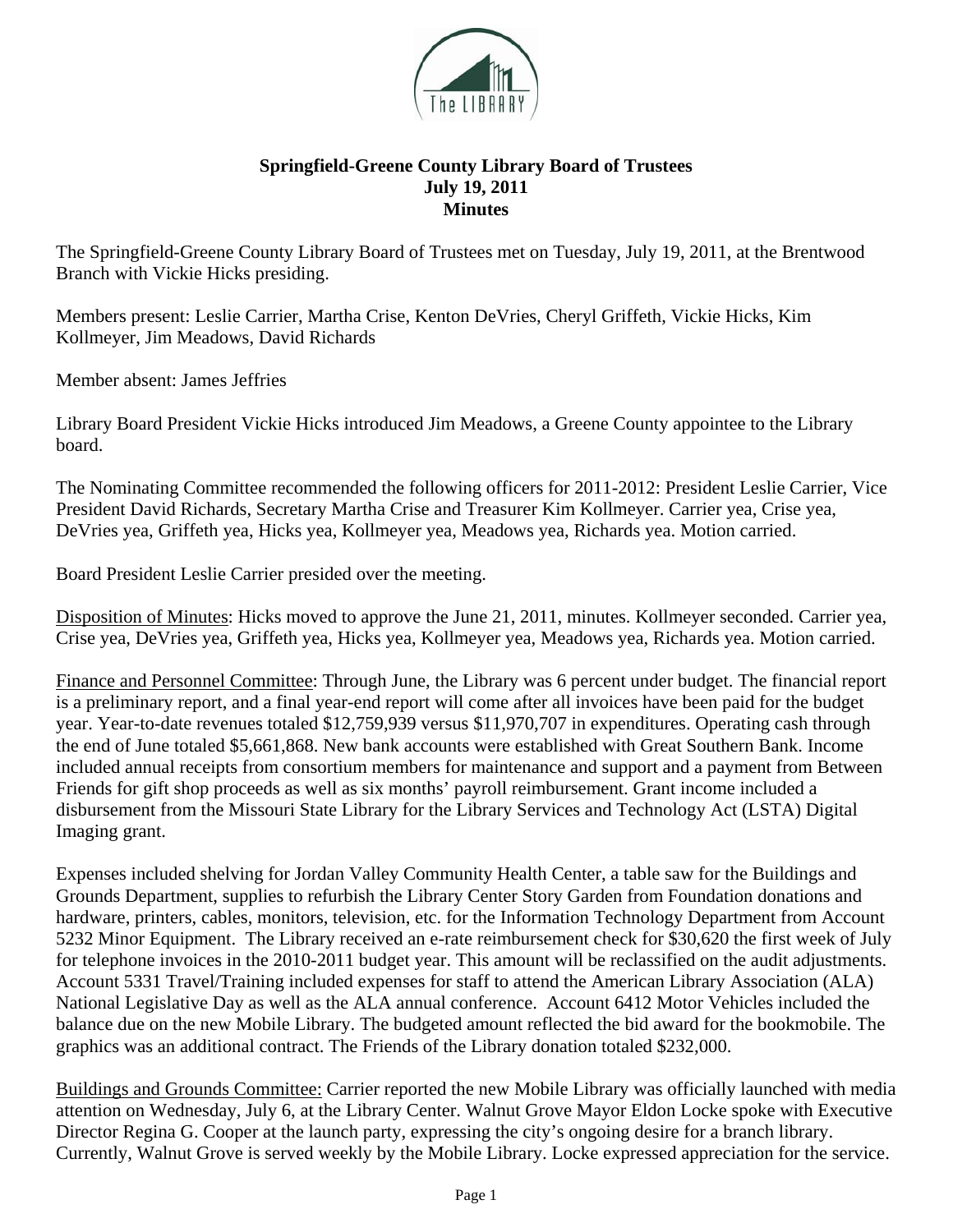

## **Springfield-Greene County Library Board of Trustees July 19, 2011 Minutes**

The Springfield-Greene County Library Board of Trustees met on Tuesday, July 19, 2011, at the Brentwood Branch with Vickie Hicks presiding.

Members present: Leslie Carrier, Martha Crise, Kenton DeVries, Cheryl Griffeth, Vickie Hicks, Kim Kollmeyer, Jim Meadows, David Richards

Member absent: James Jeffries

Library Board President Vickie Hicks introduced Jim Meadows, a Greene County appointee to the Library board.

The Nominating Committee recommended the following officers for 2011-2012: President Leslie Carrier, Vice President David Richards, Secretary Martha Crise and Treasurer Kim Kollmeyer. Carrier yea, Crise yea, DeVries yea, Griffeth yea, Hicks yea, Kollmeyer yea, Meadows yea, Richards yea. Motion carried.

Board President Leslie Carrier presided over the meeting.

Disposition of Minutes: Hicks moved to approve the June 21, 2011, minutes. Kollmeyer seconded. Carrier yea, Crise yea, DeVries yea, Griffeth yea, Hicks yea, Kollmeyer yea, Meadows yea, Richards yea. Motion carried.

Finance and Personnel Committee: Through June, the Library was 6 percent under budget. The financial report is a preliminary report, and a final year-end report will come after all invoices have been paid for the budget year. Year-to-date revenues totaled \$12,759,939 versus \$11,970,707 in expenditures. Operating cash through the end of June totaled \$5,661,868. New bank accounts were established with Great Southern Bank. Income included annual receipts from consortium members for maintenance and support and a payment from Between Friends for gift shop proceeds as well as six months' payroll reimbursement. Grant income included a disbursement from the Missouri State Library for the Library Services and Technology Act (LSTA) Digital Imaging grant.

Expenses included shelving for Jordan Valley Community Health Center, a table saw for the Buildings and Grounds Department, supplies to refurbish the Library Center Story Garden from Foundation donations and hardware, printers, cables, monitors, television, etc. for the Information Technology Department from Account 5232 Minor Equipment. The Library received an e-rate reimbursement check for \$30,620 the first week of July for telephone invoices in the 2010-2011 budget year. This amount will be reclassified on the audit adjustments. Account 5331 Travel/Training included expenses for staff to attend the American Library Association (ALA) National Legislative Day as well as the ALA annual conference. Account 6412 Motor Vehicles included the balance due on the new Mobile Library. The budgeted amount reflected the bid award for the bookmobile. The graphics was an additional contract. The Friends of the Library donation totaled \$232,000.

Buildings and Grounds Committee: Carrier reported the new Mobile Library was officially launched with media attention on Wednesday, July 6, at the Library Center. Walnut Grove Mayor Eldon Locke spoke with Executive Director Regina G. Cooper at the launch party, expressing the city's ongoing desire for a branch library. Currently, Walnut Grove is served weekly by the Mobile Library. Locke expressed appreciation for the service.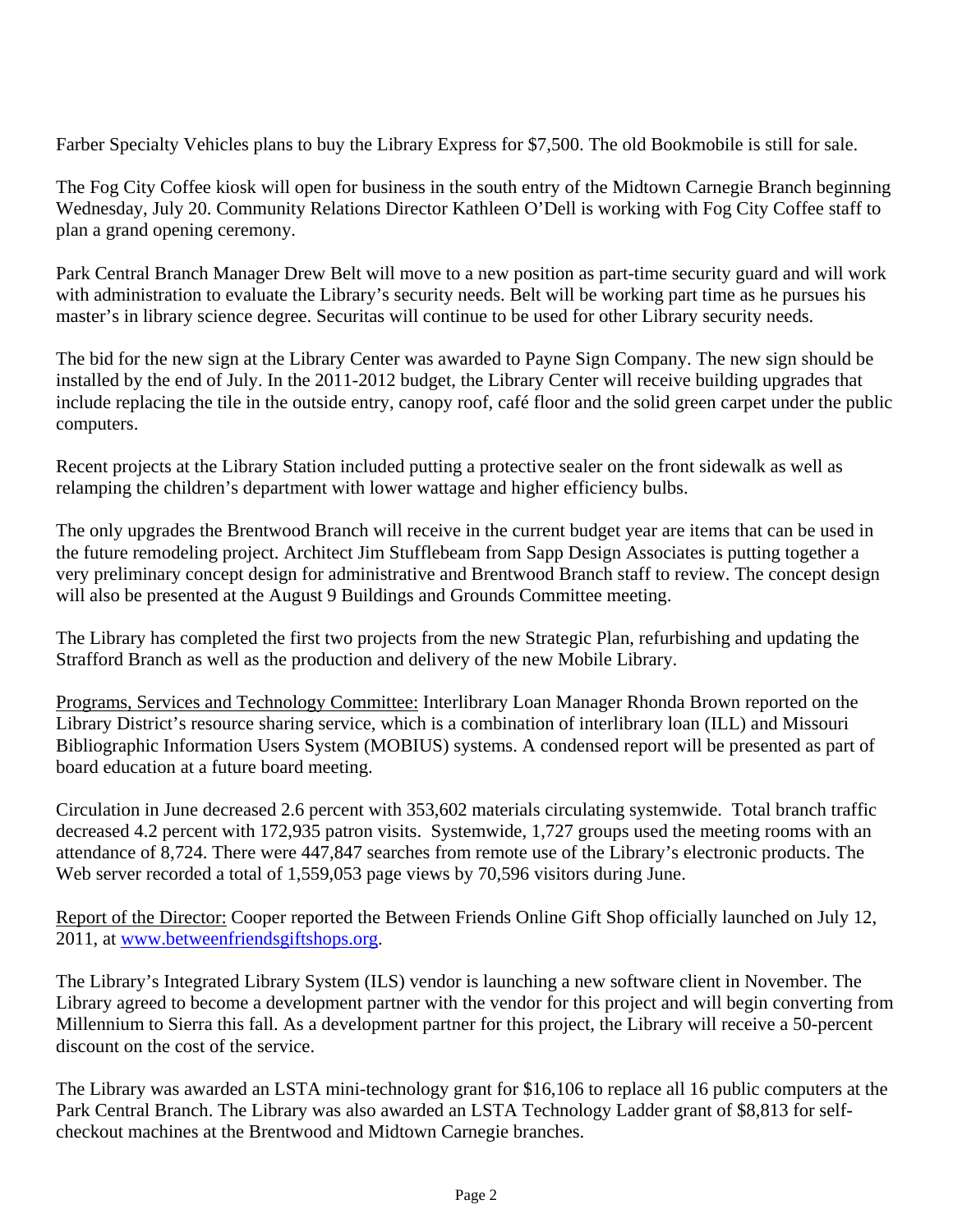Farber Specialty Vehicles plans to buy the Library Express for \$7,500. The old Bookmobile is still for sale.

The Fog City Coffee kiosk will open for business in the south entry of the Midtown Carnegie Branch beginning Wednesday, July 20. Community Relations Director Kathleen O'Dell is working with Fog City Coffee staff to plan a grand opening ceremony.

Park Central Branch Manager Drew Belt will move to a new position as part-time security guard and will work with administration to evaluate the Library's security needs. Belt will be working part time as he pursues his master's in library science degree. Securitas will continue to be used for other Library security needs.

The bid for the new sign at the Library Center was awarded to Payne Sign Company. The new sign should be installed by the end of July. In the 2011-2012 budget, the Library Center will receive building upgrades that include replacing the tile in the outside entry, canopy roof, café floor and the solid green carpet under the public computers.

Recent projects at the Library Station included putting a protective sealer on the front sidewalk as well as relamping the children's department with lower wattage and higher efficiency bulbs.

The only upgrades the Brentwood Branch will receive in the current budget year are items that can be used in the future remodeling project. Architect Jim Stufflebeam from Sapp Design Associates is putting together a very preliminary concept design for administrative and Brentwood Branch staff to review. The concept design will also be presented at the August 9 Buildings and Grounds Committee meeting.

The Library has completed the first two projects from the new Strategic Plan, refurbishing and updating the Strafford Branch as well as the production and delivery of the new Mobile Library.

Programs, Services and Technology Committee: Interlibrary Loan Manager Rhonda Brown reported on the Library District's resource sharing service, which is a combination of interlibrary loan (ILL) and Missouri Bibliographic Information Users System (MOBIUS) systems. A condensed report will be presented as part of board education at a future board meeting.

Circulation in June decreased 2.6 percent with 353,602 materials circulating systemwide. Total branch traffic decreased 4.2 percent with 172,935 patron visits. Systemwide, 1,727 groups used the meeting rooms with an attendance of 8,724. There were 447,847 searches from remote use of the Library's electronic products. The Web server recorded a total of 1,559,053 page views by 70,596 visitors during June.

Report of the Director: Cooper reported the Between Friends Online Gift Shop officially launched on July 12, 2011, at [www.betweenfriendsgiftshops.org.](http://www.betweenfriendsgiftshops.org/)

The Library's Integrated Library System (ILS) vendor is launching a new software client in November. The Library agreed to become a development partner with the vendor for this project and will begin converting from Millennium to Sierra this fall. As a development partner for this project, the Library will receive a 50-percent discount on the cost of the service.

The Library was awarded an LSTA mini-technology grant for \$16,106 to replace all 16 public computers at the Park Central Branch. The Library was also awarded an LSTA Technology Ladder grant of \$8,813 for selfcheckout machines at the Brentwood and Midtown Carnegie branches.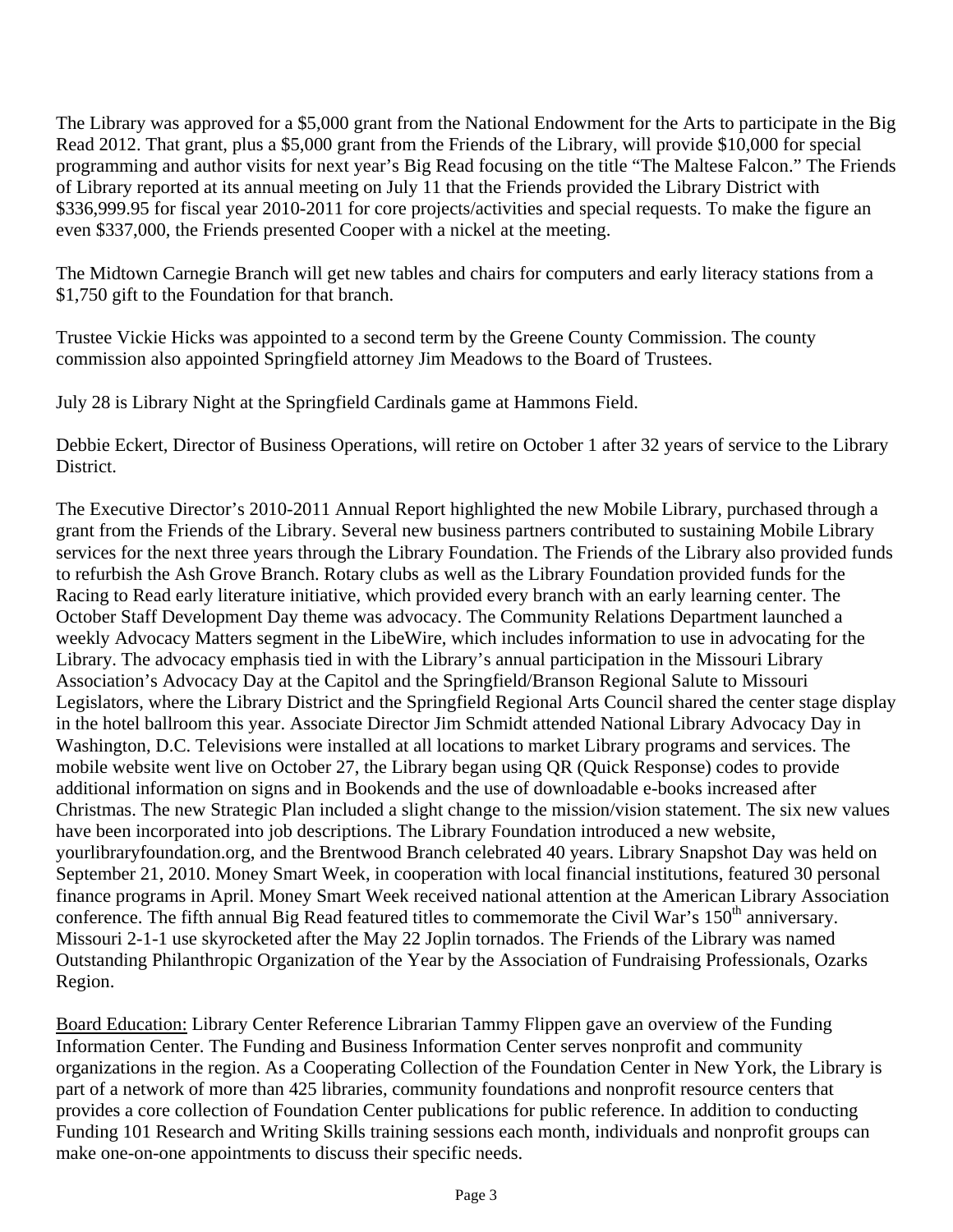The Library was approved for a \$5,000 grant from the National Endowment for the Arts to participate in the Big Read 2012. That grant, plus a \$5,000 grant from the Friends of the Library, will provide \$10,000 for special programming and author visits for next year's Big Read focusing on the title "The Maltese Falcon." The Friends of Library reported at its annual meeting on July 11 that the Friends provided the Library District with \$336,999.95 for fiscal year 2010-2011 for core projects/activities and special requests. To make the figure an even \$337,000, the Friends presented Cooper with a nickel at the meeting.

The Midtown Carnegie Branch will get new tables and chairs for computers and early literacy stations from a \$1,750 gift to the Foundation for that branch.

Trustee Vickie Hicks was appointed to a second term by the Greene County Commission. The county commission also appointed Springfield attorney Jim Meadows to the Board of Trustees.

July 28 is Library Night at the Springfield Cardinals game at Hammons Field.

Debbie Eckert, Director of Business Operations, will retire on October 1 after 32 years of service to the Library District.

The Executive Director's 2010-2011 Annual Report highlighted the new Mobile Library, purchased through a grant from the Friends of the Library. Several new business partners contributed to sustaining Mobile Library services for the next three years through the Library Foundation. The Friends of the Library also provided funds to refurbish the Ash Grove Branch. Rotary clubs as well as the Library Foundation provided funds for the Racing to Read early literature initiative, which provided every branch with an early learning center. The October Staff Development Day theme was advocacy. The Community Relations Department launched a weekly Advocacy Matters segment in the LibeWire, which includes information to use in advocating for the Library. The advocacy emphasis tied in with the Library's annual participation in the Missouri Library Association's Advocacy Day at the Capitol and the Springfield/Branson Regional Salute to Missouri Legislators, where the Library District and the Springfield Regional Arts Council shared the center stage display in the hotel ballroom this year. Associate Director Jim Schmidt attended National Library Advocacy Day in Washington, D.C. Televisions were installed at all locations to market Library programs and services. The mobile website went live on October 27, the Library began using QR (Quick Response) codes to provide additional information on signs and in Bookends and the use of downloadable e-books increased after Christmas. The new Strategic Plan included a slight change to the mission/vision statement. The six new values have been incorporated into job descriptions. The Library Foundation introduced a new website, yourlibraryfoundation.org, and the Brentwood Branch celebrated 40 years. Library Snapshot Day was held on September 21, 2010. Money Smart Week, in cooperation with local financial institutions, featured 30 personal finance programs in April. Money Smart Week received national attention at the American Library Association conference. The fifth annual Big Read featured titles to commemorate the Civil War's 150<sup>th</sup> anniversary. Missouri 2-1-1 use skyrocketed after the May 22 Joplin tornados. The Friends of the Library was named Outstanding Philanthropic Organization of the Year by the Association of Fundraising Professionals, Ozarks Region.

Board Education: Library Center Reference Librarian Tammy Flippen gave an overview of the Funding Information Center. The Funding and Business Information Center serves nonprofit and community organizations in the region. As a Cooperating Collection of the Foundation Center in New York, the Library is part of a network of more than 425 libraries, community foundations and nonprofit resource centers that provides a core collection of Foundation Center publications for public reference. In addition to conducting Funding 101 Research and Writing Skills training sessions each month, individuals and nonprofit groups can make one-on-one appointments to discuss their specific needs.